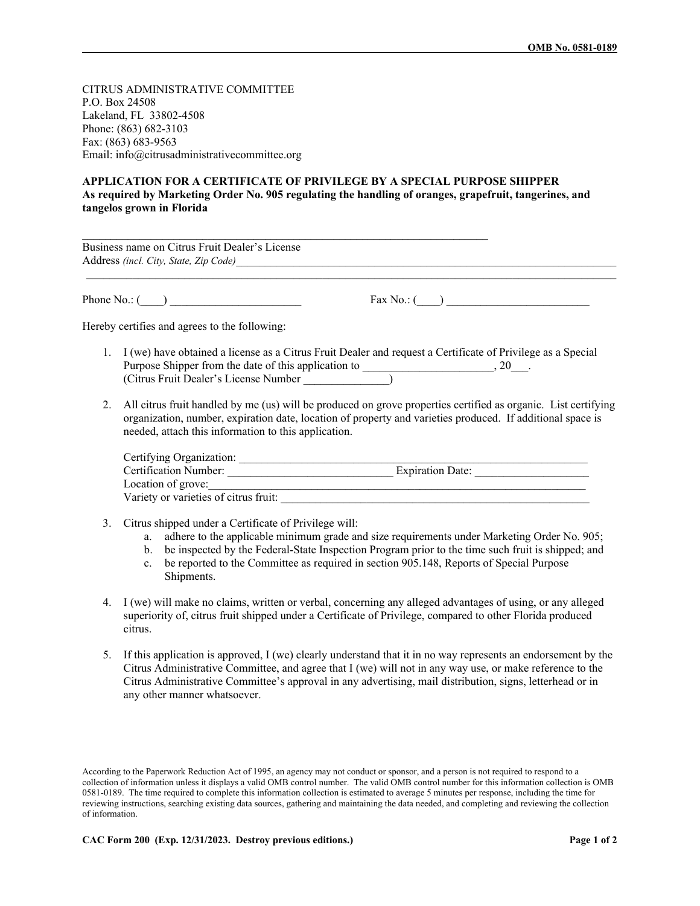CITRUS ADMINISTRATIVE COMMITTEE P.O. Box 24508 Lakeland, FL 33802-4508 Phone: (863) 682-3103 Fax: (863) 683-9563 Email: info@citrusadministrativecommittee.org

## **APPLICATION FOR A CERTIFICATE OF PRIVILEGE BY A SPECIAL PURPOSE SHIPPER As required by Marketing Order No. 905 regulating the handling of oranges, grapefruit, tangerines, and tangelos grown in Florida**

| Business name on Citrus Fruit Dealer's License       | Address (incl. City, State, Zip Code)                                                                                                                                                                                           |
|------------------------------------------------------|---------------------------------------------------------------------------------------------------------------------------------------------------------------------------------------------------------------------------------|
| Phone No.: $(\_\_\_\_\_\_$                           |                                                                                                                                                                                                                                 |
| Hereby certifies and agrees to the following:        |                                                                                                                                                                                                                                 |
| (Citrus Fruit Dealer's License Number)               | 1. I (we) have obtained a license as a Citrus Fruit Dealer and request a Certificate of Privilege as a Special                                                                                                                  |
| needed, attach this information to this application. | 2. All citrus fruit handled by me (us) will be produced on grove properties certified as organic. List certifying<br>organization, number, expiration date, location of property and varieties produced. If additional space is |
|                                                      | Certification Number: Expiration Date:                                                                                                                                                                                          |
| Location of grove:                                   |                                                                                                                                                                                                                                 |

3. Citrus shipped under a Certificate of Privilege will:

Variety or varieties of citrus fruit:

- a. adhere to the applicable minimum grade and size requirements under Marketing Order No. 905;
- b. be inspected by the Federal-State Inspection Program prior to the time such fruit is shipped; and
- c. be reported to the Committee as required in section 905.148, Reports of Special Purpose Shipments.
- 4. I (we) will make no claims, written or verbal, concerning any alleged advantages of using, or any alleged superiority of, citrus fruit shipped under a Certificate of Privilege, compared to other Florida produced citrus.
- 5. If this application is approved, I (we) clearly understand that it in no way represents an endorsement by the Citrus Administrative Committee, and agree that I (we) will not in any way use, or make reference to the Citrus Administrative Committee's approval in any advertising, mail distribution, signs, letterhead or in any other manner whatsoever.

According to the Paperwork Reduction Act of 1995, an agency may not conduct or sponsor, and a person is not required to respond to a collection of information unless it displays a valid OMB control number. The valid OMB control number for this information collection is OMB 0581-0189. The time required to complete this information collection is estimated to average 5 minutes per response, including the time for reviewing instructions, searching existing data sources, gathering and maintaining the data needed, and completing and reviewing the collection of information.